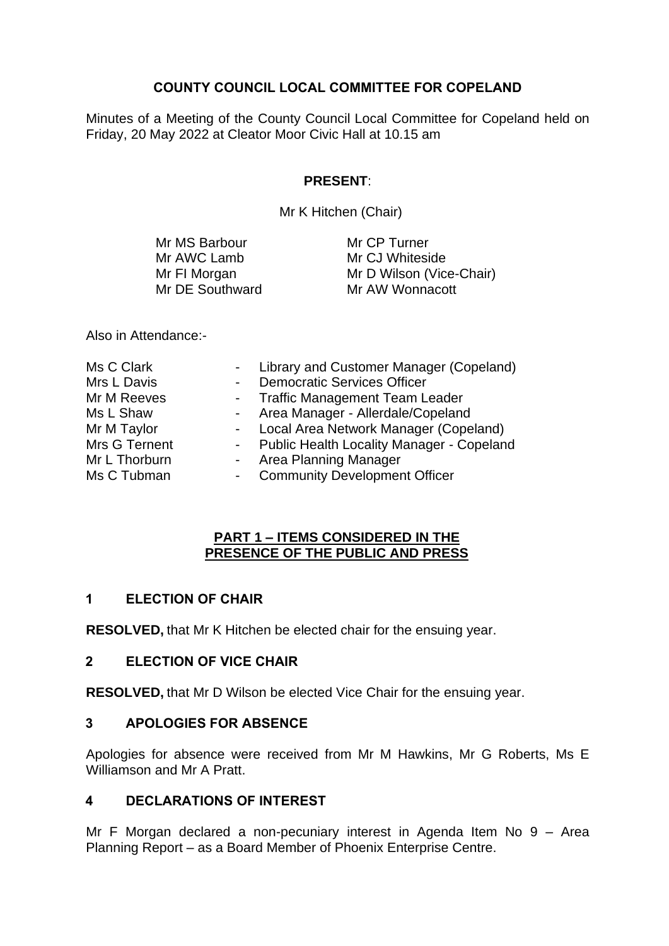## **COUNTY COUNCIL LOCAL COMMITTEE FOR COPELAND**

Minutes of a Meeting of the County Council Local Committee for Copeland held on Friday, 20 May 2022 at Cleator Moor Civic Hall at 10.15 am

# **PRESENT**:

Mr K Hitchen (Chair)

| Mr MS Barbour   | Mr CP Turner             |
|-----------------|--------------------------|
| Mr AWC Lamb     | Mr CJ Whiteside          |
| Mr FI Morgan    | Mr D Wilson (Vice-Chair) |
| Mr DE Southward | Mr AW Wonnacott          |

Also in Attendance:-

| Ms C Clark    | $\sim 100$ | Library and Customer Manager (Copeland)     |
|---------------|------------|---------------------------------------------|
| Mrs L Davis   |            | <b>Democratic Services Officer</b>          |
| Mr M Reeves   |            | - Traffic Management Team Leader            |
| Ms L Shaw     |            | - Area Manager - Allerdale/Copeland         |
| Mr M Taylor   |            | - Local Area Network Manager (Copeland)     |
| Mrs G Ternent |            | - Public Health Locality Manager - Copeland |
| Mr L Thorburn |            | - Area Planning Manager                     |
| Ms C Tubman   |            | - Community Development Officer             |

#### **PART 1 – ITEMS CONSIDERED IN THE PRESENCE OF THE PUBLIC AND PRESS**

# **1 ELECTION OF CHAIR**

**RESOLVED,** that Mr K Hitchen be elected chair for the ensuing year.

## **2 ELECTION OF VICE CHAIR**

**RESOLVED,** that Mr D Wilson be elected Vice Chair for the ensuing year.

## **3 APOLOGIES FOR ABSENCE**

Apologies for absence were received from Mr M Hawkins, Mr G Roberts, Ms E Williamson and Mr A Pratt.

## **4 DECLARATIONS OF INTEREST**

Mr F Morgan declared a non-pecuniary interest in Agenda Item No 9 – Area Planning Report – as a Board Member of Phoenix Enterprise Centre.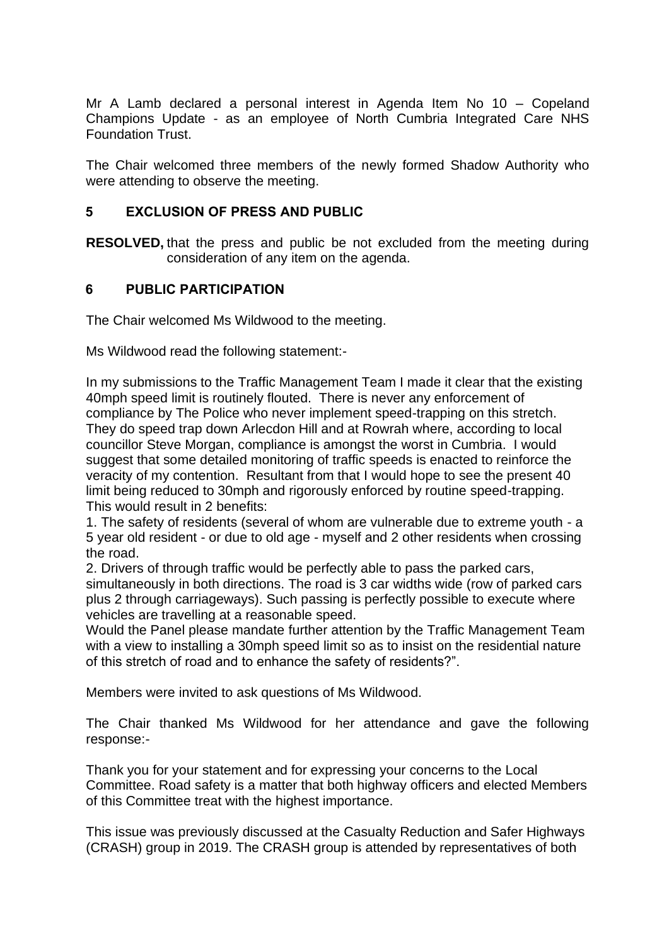Mr A Lamb declared a personal interest in Agenda Item No 10 – Copeland Champions Update - as an employee of North Cumbria Integrated Care NHS Foundation Trust.

The Chair welcomed three members of the newly formed Shadow Authority who were attending to observe the meeting.

#### **5 EXCLUSION OF PRESS AND PUBLIC**

**RESOLVED,** that the press and public be not excluded from the meeting during consideration of any item on the agenda.

#### **6 PUBLIC PARTICIPATION**

The Chair welcomed Ms Wildwood to the meeting.

Ms Wildwood read the following statement:-

In my submissions to the Traffic Management Team I made it clear that the existing 40mph speed limit is routinely flouted. There is never any enforcement of compliance by The Police who never implement speed-trapping on this stretch. They do speed trap down Arlecdon Hill and at Rowrah where, according to local councillor Steve Morgan, compliance is amongst the worst in Cumbria. I would suggest that some detailed monitoring of traffic speeds is enacted to reinforce the veracity of my contention. Resultant from that I would hope to see the present 40 limit being reduced to 30mph and rigorously enforced by routine speed-trapping. This would result in 2 benefits:

1. The safety of residents (several of whom are vulnerable due to extreme youth - a 5 year old resident - or due to old age - myself and 2 other residents when crossing the road.

2. Drivers of through traffic would be perfectly able to pass the parked cars, simultaneously in both directions. The road is 3 car widths wide (row of parked cars plus 2 through carriageways). Such passing is perfectly possible to execute where vehicles are travelling at a reasonable speed.

Would the Panel please mandate further attention by the Traffic Management Team with a view to installing a 30mph speed limit so as to insist on the residential nature of this stretch of road and to enhance the safety of residents?".

Members were invited to ask questions of Ms Wildwood.

The Chair thanked Ms Wildwood for her attendance and gave the following response:-

Thank you for your statement and for expressing your concerns to the Local Committee. Road safety is a matter that both highway officers and elected Members of this Committee treat with the highest importance.

This issue was previously discussed at the Casualty Reduction and Safer Highways (CRASH) group in 2019. The CRASH group is attended by representatives of both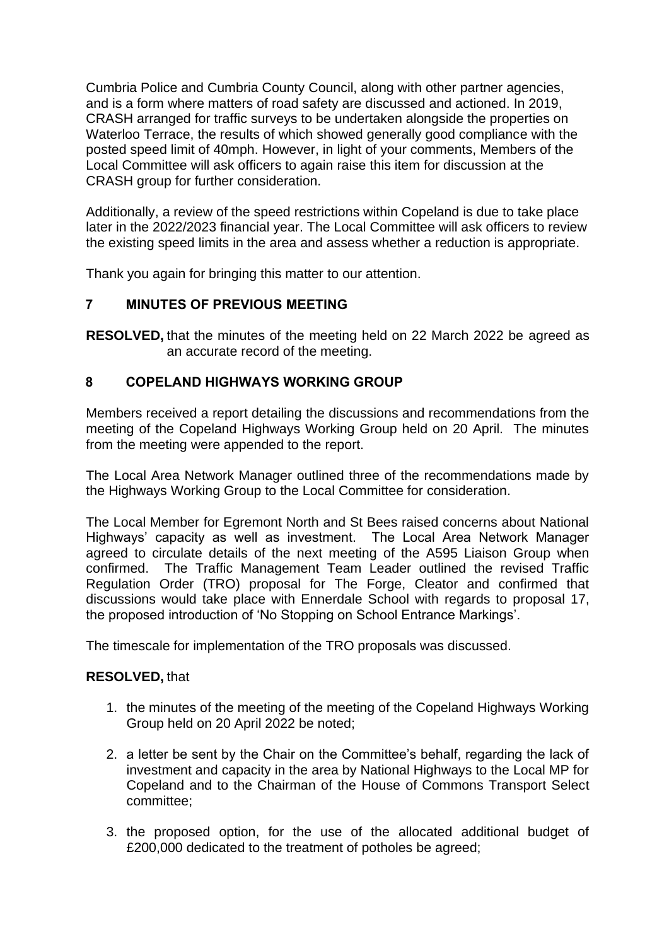Cumbria Police and Cumbria County Council, along with other partner agencies, and is a form where matters of road safety are discussed and actioned. In 2019, CRASH arranged for traffic surveys to be undertaken alongside the properties on Waterloo Terrace, the results of which showed generally good compliance with the posted speed limit of 40mph. However, in light of your comments, Members of the Local Committee will ask officers to again raise this item for discussion at the CRASH group for further consideration.

Additionally, a review of the speed restrictions within Copeland is due to take place later in the 2022/2023 financial year. The Local Committee will ask officers to review the existing speed limits in the area and assess whether a reduction is appropriate.

Thank you again for bringing this matter to our attention.

# **7 MINUTES OF PREVIOUS MEETING**

**RESOLVED,** that the minutes of the meeting held on 22 March 2022 be agreed as an accurate record of the meeting.

# **8 COPELAND HIGHWAYS WORKING GROUP**

Members received a report detailing the discussions and recommendations from the meeting of the Copeland Highways Working Group held on 20 April. The minutes from the meeting were appended to the report.

The Local Area Network Manager outlined three of the recommendations made by the Highways Working Group to the Local Committee for consideration.

The Local Member for Egremont North and St Bees raised concerns about National Highways' capacity as well as investment. The Local Area Network Manager agreed to circulate details of the next meeting of the A595 Liaison Group when confirmed. The Traffic Management Team Leader outlined the revised Traffic Regulation Order (TRO) proposal for The Forge, Cleator and confirmed that discussions would take place with Ennerdale School with regards to proposal 17, the proposed introduction of 'No Stopping on School Entrance Markings'.

The timescale for implementation of the TRO proposals was discussed.

## **RESOLVED,** that

- 1. the minutes of the meeting of the meeting of the Copeland Highways Working Group held on 20 April 2022 be noted;
- 2. a letter be sent by the Chair on the Committee's behalf, regarding the lack of investment and capacity in the area by National Highways to the Local MP for Copeland and to the Chairman of the House of Commons Transport Select committee;
- 3. the proposed option, for the use of the allocated additional budget of £200,000 dedicated to the treatment of potholes be agreed;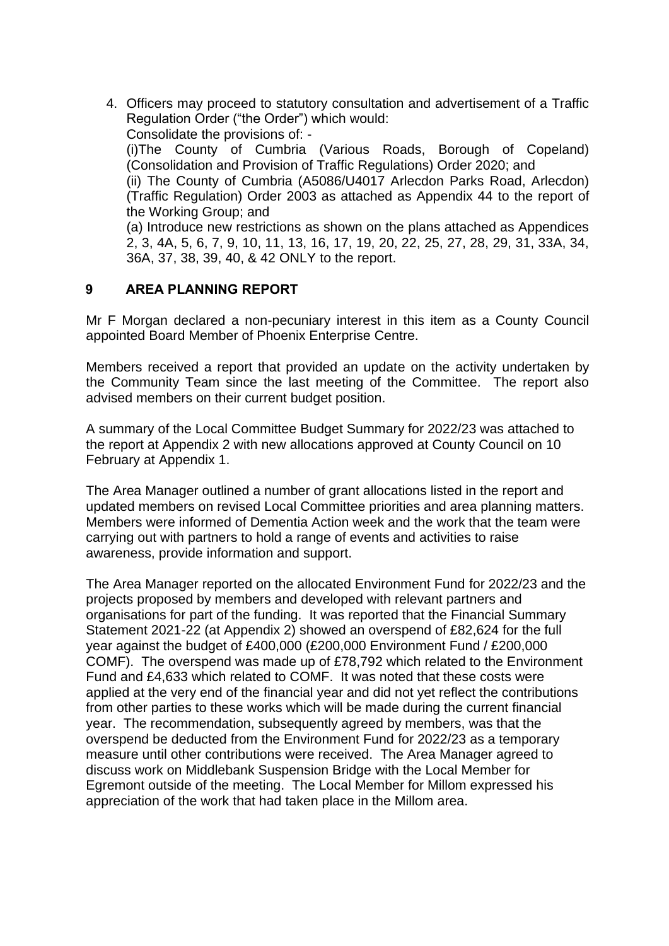4. Officers may proceed to statutory consultation and advertisement of a Traffic Regulation Order ("the Order") which would: Consolidate the provisions of: - (i)The County of Cumbria (Various Roads, Borough of Copeland) (Consolidation and Provision of Traffic Regulations) Order 2020; and (ii) The County of Cumbria (A5086/U4017 Arlecdon Parks Road, Arlecdon) (Traffic Regulation) Order 2003 as attached as Appendix 44 to the report of the Working Group; and (a) Introduce new restrictions as shown on the plans attached as Appendices 2, 3, 4A, 5, 6, 7, 9, 10, 11, 13, 16, 17, 19, 20, 22, 25, 27, 28, 29, 31, 33A, 34, 36A, 37, 38, 39, 40, & 42 ONLY to the report.

# **9 AREA PLANNING REPORT**

Mr F Morgan declared a non-pecuniary interest in this item as a County Council appointed Board Member of Phoenix Enterprise Centre.

Members received a report that provided an update on the activity undertaken by the Community Team since the last meeting of the Committee. The report also advised members on their current budget position.

A summary of the Local Committee Budget Summary for 2022/23 was attached to the report at Appendix 2 with new allocations approved at County Council on 10 February at Appendix 1.

The Area Manager outlined a number of grant allocations listed in the report and updated members on revised Local Committee priorities and area planning matters. Members were informed of Dementia Action week and the work that the team were carrying out with partners to hold a range of events and activities to raise awareness, provide information and support.

The Area Manager reported on the allocated Environment Fund for 2022/23 and the projects proposed by members and developed with relevant partners and organisations for part of the funding. It was reported that the Financial Summary Statement 2021-22 (at Appendix 2) showed an overspend of £82,624 for the full year against the budget of £400,000 (£200,000 Environment Fund / £200,000 COMF). The overspend was made up of £78,792 which related to the Environment Fund and £4,633 which related to COMF. It was noted that these costs were applied at the very end of the financial year and did not yet reflect the contributions from other parties to these works which will be made during the current financial year. The recommendation, subsequently agreed by members, was that the overspend be deducted from the Environment Fund for 2022/23 as a temporary measure until other contributions were received. The Area Manager agreed to discuss work on Middlebank Suspension Bridge with the Local Member for Egremont outside of the meeting. The Local Member for Millom expressed his appreciation of the work that had taken place in the Millom area.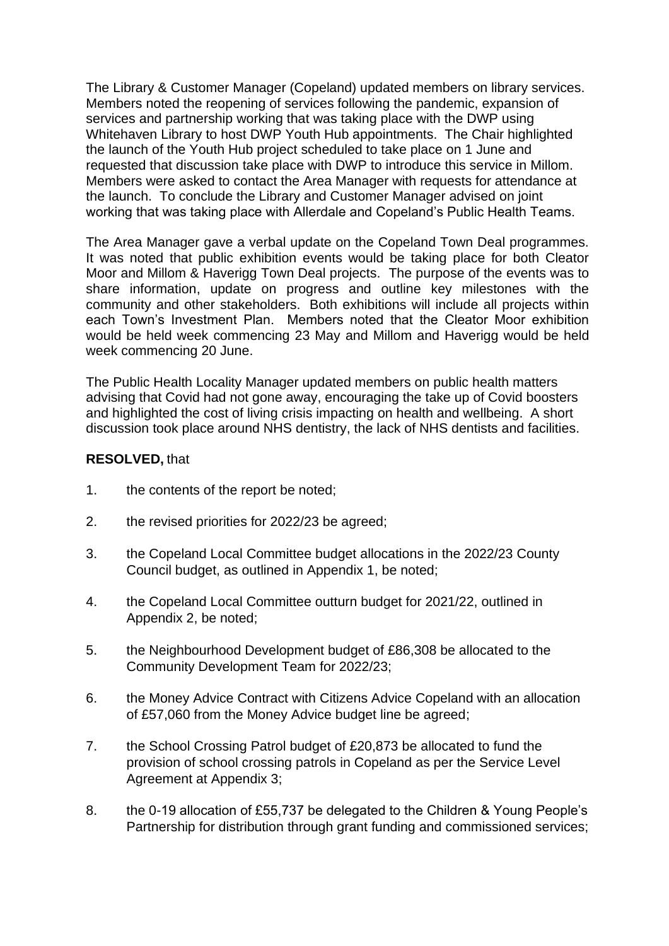The Library & Customer Manager (Copeland) updated members on library services. Members noted the reopening of services following the pandemic, expansion of services and partnership working that was taking place with the DWP using Whitehaven Library to host DWP Youth Hub appointments. The Chair highlighted the launch of the Youth Hub project scheduled to take place on 1 June and requested that discussion take place with DWP to introduce this service in Millom. Members were asked to contact the Area Manager with requests for attendance at the launch. To conclude the Library and Customer Manager advised on joint working that was taking place with Allerdale and Copeland's Public Health Teams.

The Area Manager gave a verbal update on the Copeland Town Deal programmes. It was noted that public exhibition events would be taking place for both Cleator Moor and Millom & Haverigg Town Deal projects. The purpose of the events was to share information, update on progress and outline key milestones with the community and other stakeholders. Both exhibitions will include all projects within each Town's Investment Plan. Members noted that the Cleator Moor exhibition would be held week commencing 23 May and Millom and Haverigg would be held week commencing 20 June.

The Public Health Locality Manager updated members on public health matters advising that Covid had not gone away, encouraging the take up of Covid boosters and highlighted the cost of living crisis impacting on health and wellbeing. A short discussion took place around NHS dentistry, the lack of NHS dentists and facilities.

#### **RESOLVED,** that

- 1. the contents of the report be noted;
- 2. the revised priorities for 2022/23 be agreed;
- 3. the Copeland Local Committee budget allocations in the 2022/23 County Council budget, as outlined in Appendix 1, be noted;
- 4. the Copeland Local Committee outturn budget for 2021/22, outlined in Appendix 2, be noted;
- 5. the Neighbourhood Development budget of £86,308 be allocated to the Community Development Team for 2022/23;
- 6. the Money Advice Contract with Citizens Advice Copeland with an allocation of £57,060 from the Money Advice budget line be agreed;
- 7. the School Crossing Patrol budget of £20,873 be allocated to fund the provision of school crossing patrols in Copeland as per the Service Level Agreement at Appendix 3;
- 8. the 0-19 allocation of £55,737 be delegated to the Children & Young People's Partnership for distribution through grant funding and commissioned services;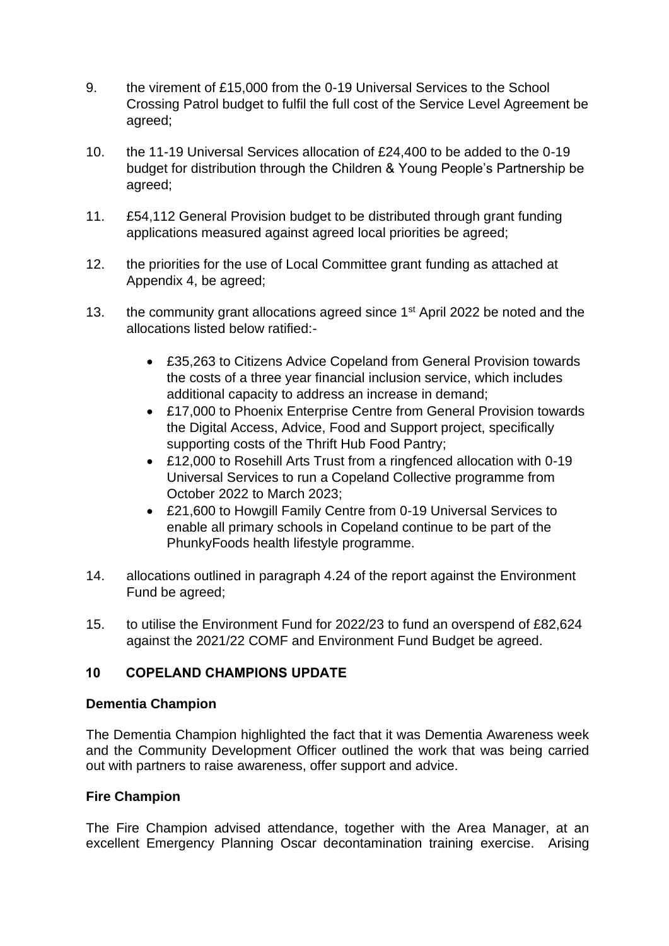- 9. the virement of £15,000 from the 0-19 Universal Services to the School Crossing Patrol budget to fulfil the full cost of the Service Level Agreement be agreed;
- 10. the 11-19 Universal Services allocation of £24,400 to be added to the 0-19 budget for distribution through the Children & Young People's Partnership be agreed;
- 11. £54,112 General Provision budget to be distributed through grant funding applications measured against agreed local priorities be agreed;
- 12. the priorities for the use of Local Committee grant funding as attached at Appendix 4, be agreed;
- 13. the community grant allocations agreed since 1<sup>st</sup> April 2022 be noted and the allocations listed below ratified:-
	- £35,263 to Citizens Advice Copeland from General Provision towards the costs of a three year financial inclusion service, which includes additional capacity to address an increase in demand;
	- £17,000 to Phoenix Enterprise Centre from General Provision towards the Digital Access, Advice, Food and Support project, specifically supporting costs of the Thrift Hub Food Pantry;
	- £12,000 to Rosehill Arts Trust from a ringfenced allocation with 0-19 Universal Services to run a Copeland Collective programme from October 2022 to March 2023;
	- £21,600 to Howgill Family Centre from 0-19 Universal Services to enable all primary schools in Copeland continue to be part of the PhunkyFoods health lifestyle programme.
- 14. allocations outlined in paragraph 4.24 of the report against the Environment Fund be agreed;
- 15. to utilise the Environment Fund for 2022/23 to fund an overspend of £82,624 against the 2021/22 COMF and Environment Fund Budget be agreed.

## **10 COPELAND CHAMPIONS UPDATE**

#### **Dementia Champion**

The Dementia Champion highlighted the fact that it was Dementia Awareness week and the Community Development Officer outlined the work that was being carried out with partners to raise awareness, offer support and advice.

## **Fire Champion**

The Fire Champion advised attendance, together with the Area Manager, at an excellent Emergency Planning Oscar decontamination training exercise. Arising